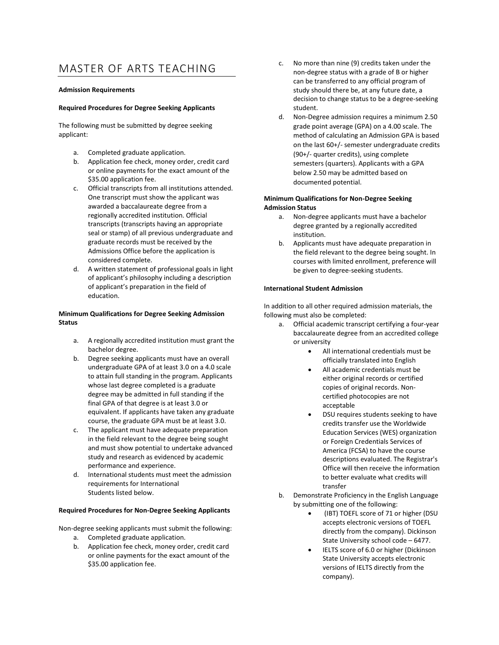# MASTER OF ARTS TEACHING

# **Admission Requirements**

# **Required Procedures for Degree Seeking Applicants**

The following must be submitted by degree seeking applicant:

- a. Completed graduate application.
- b. Application fee check, money order, credit card or online payments for the exact amount of the \$35.00 application fee.
- c. Official transcripts from all institutions attended. One transcript must show the applicant was awarded a baccalaureate degree from a regionally accredited institution. Official transcripts (transcripts having an appropriate seal or stamp) of all previous undergraduate and graduate records must be received by the Admissions Office before the application is considered complete.
- d. A written statement of professional goals in light of applicant's philosophy including a description of applicant's preparation in the field of education.

# **Minimum Qualifications for Degree Seeking Admission Status**

- a. A regionally accredited institution must grant the bachelor degree.
- b. Degree seeking applicants must have an overall undergraduate GPA of at least 3.0 on a 4.0 scale to attain full standing in the program. Applicants whose last degree completed is a graduate degree may be admitted in full standing if the final GPA of that degree is at least 3.0 or equivalent. If applicants have taken any graduate course, the graduate GPA must be at least 3.0.
- c. The applicant must have adequate preparation in the field relevant to the degree being sought and must show potential to undertake advanced study and research as evidenced by academic performance and experience.
- d. International students must meet the admission requirements for International Students listed below.

## **Required Procedures for Non-Degree Seeking Applicants**

Non-degree seeking applicants must submit the following:

- a. Completed graduate application.
- b. Application fee check, money order, credit card or online payments for the exact amount of the \$35.00 application fee.
- c. No more than nine (9) credits taken under the non-degree status with a grade of B or higher can be transferred to any official program of study should there be, at any future date, a decision to change status to be a degree-seeking student.
- d. Non-Degree admission requires a minimum 2.50 grade point average (GPA) on a 4.00 scale. The method of calculating an Admission GPA is based on the last 60+/- semester undergraduate credits (90+/- quarter credits), using complete semesters (quarters). Applicants with a GPA below 2.50 may be admitted based on documented potential.

# **Minimum Qualifications for Non-Degree Seeking Admission Status**

- a. Non-degree applicants must have a bachelor degree granted by a regionally accredited institution.
- b. Applicants must have adequate preparation in the field relevant to the degree being sought. In courses with limited enrollment, preference will be given to degree-seeking students.

# **International Student Admission**

In addition to all other required admission materials, the following must also be completed:

- a. Official academic transcript certifying a four-year baccalaureate degree from an accredited college or university
	- All international credentials must be officially translated into English
	- All academic credentials must be either original records or certified copies of original records. Noncertified photocopies are not acceptable
	- DSU requires students seeking to have credits transfer use the Worldwide Education Services (WES) organization or Foreign Credentials Services of America (FCSA) to have the course descriptions evaluated. The Registrar's Office will then receive the information to better evaluate what credits will transfer
- b. Demonstrate Proficiency in the English Language by submitting one of the following:
	- (IBT) TOEFL score of 71 or higher (DSU accepts electronic versions of TOEFL directly from the company). Dickinson State University school code – 6477.
	- IELTS score of 6.0 or higher (Dickinson State University accepts electronic versions of IELTS directly from the company).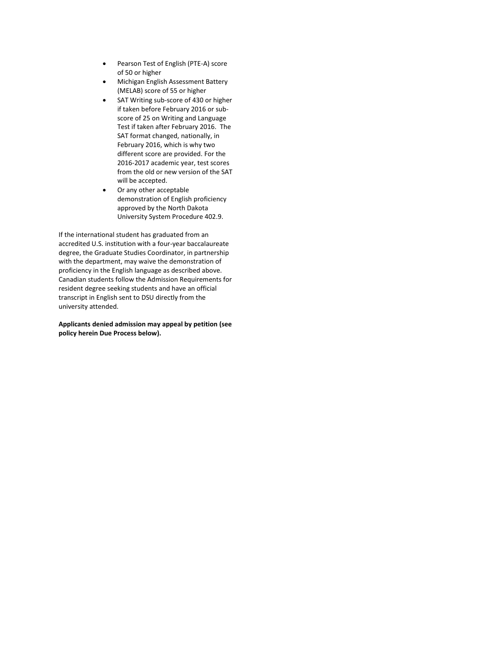- Pearson Test of English (PTE-A) score of 50 or higher
- Michigan English Assessment Battery (MELAB) score of 55 or higher
- SAT Writing sub-score of 430 or higher if taken before February 2016 or subscore of 25 on Writing and Language Test if taken after February 2016. The SAT format changed, nationally, in February 2016, which is why two different score are provided. For the 2016-2017 academic year, test scores from the old or new version of the SAT will be accepted.
- Or any other acceptable demonstration of English proficiency approved by the North Dakota University System Procedure 402.9.

If the international student has graduated from an accredited U.S. institution with a four-year baccalaureate degree, the Graduate Studies Coordinator, in partnership with the department, may waive the demonstration of proficiency in the English language as described above. Canadian students follow the Admission Requirements for resident degree seeking students and have an official transcript in English sent to DSU directly from the university attended.

## **Applicants denied admission may appeal by petition (see policy herein Due Process below).**